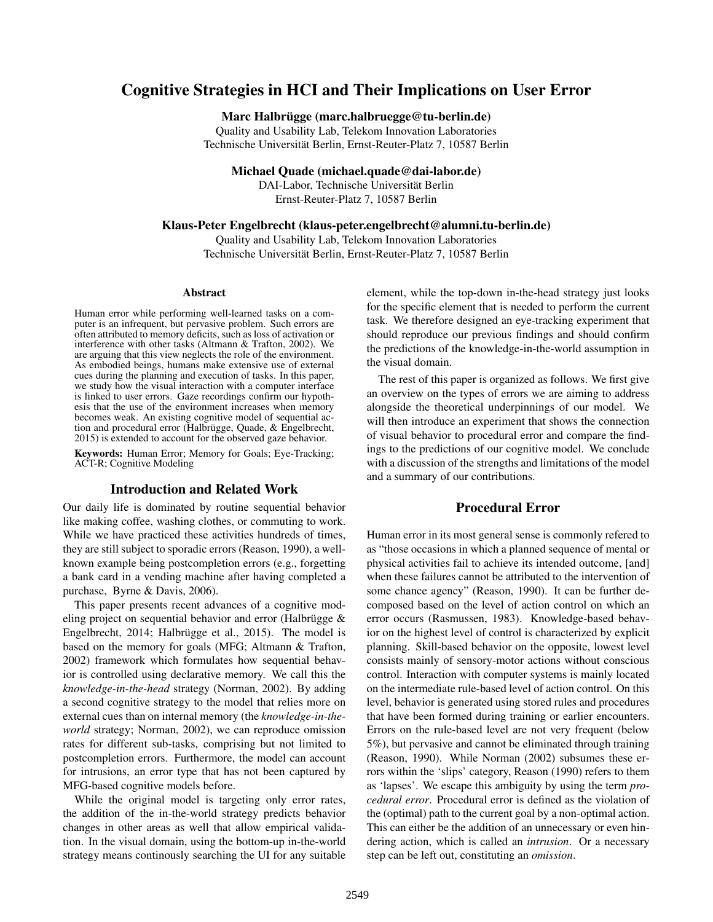# Cognitive Strategies in HCI and Their Implications on User Error

Marc Halbrügge (marc.halbruegge@tu-berlin.de)

Quality and Usability Lab, Telekom Innovation Laboratories Technische Universität Berlin, Ernst-Reuter-Platz 7, 10587 Berlin

Michael Quade (michael.quade@dai-labor.de)

DAI-Labor, Technische Universität Berlin Ernst-Reuter-Platz 7, 10587 Berlin

Klaus-Peter Engelbrecht (klaus-peter.engelbrecht@alumni.tu-berlin.de)

Quality and Usability Lab, Telekom Innovation Laboratories Technische Universität Berlin, Ernst-Reuter-Platz 7, 10587 Berlin

#### Abstract

Human error while performing well-learned tasks on a computer is an infrequent, but pervasive problem. Such errors are often attributed to memory deficits, such as loss of activation or interference with other tasks (Altmann & Trafton, 2002). We are arguing that this view neglects the role of the environment. As embodied beings, humans make extensive use of external cues during the planning and execution of tasks. In this paper, we study how the visual interaction with a computer interface is linked to user errors. Gaze recordings confirm our hypothesis that the use of the environment increases when memory becomes weak. An existing cognitive model of sequential action and procedural error (Halbrügge, Quade, & Engelbrecht, 2015) is extended to account for the observed gaze behavior.

Keywords: Human Error; Memory for Goals; Eye-Tracking; ACT-R; Cognitive Modeling

# Introduction and Related Work

Our daily life is dominated by routine sequential behavior like making coffee, washing clothes, or commuting to work. While we have practiced these activities hundreds of times, they are still subject to sporadic errors (Reason, 1990), a wellknown example being postcompletion errors (e.g., forgetting a bank card in a vending machine after having completed a purchase, Byrne & Davis, 2006).

This paper presents recent advances of a cognitive modeling project on sequential behavior and error (Halbrügge & Engelbrecht, 2014; Halbrügge et al., 2015). The model is based on the memory for goals (MFG; Altmann & Trafton, 2002) framework which formulates how sequential behavior is controlled using declarative memory. We call this the *knowledge-in-the-head* strategy (Norman, 2002). By adding a second cognitive strategy to the model that relies more on external cues than on internal memory (the *knowledge-in-theworld* strategy; Norman, 2002), we can reproduce omission rates for different sub-tasks, comprising but not limited to postcompletion errors. Furthermore, the model can account for intrusions, an error type that has not been captured by MFG-based cognitive models before.

While the original model is targeting only error rates, the addition of the in-the-world strategy predicts behavior changes in other areas as well that allow empirical validation. In the visual domain, using the bottom-up in-the-world strategy means continously searching the UI for any suitable element, while the top-down in-the-head strategy just looks for the specific element that is needed to perform the current task. We therefore designed an eye-tracking experiment that should reproduce our previous findings and should confirm the predictions of the knowledge-in-the-world assumption in the visual domain.

The rest of this paper is organized as follows. We first give an overview on the types of errors we are aiming to address alongside the theoretical underpinnings of our model. We will then introduce an experiment that shows the connection of visual behavior to procedural error and compare the findings to the predictions of our cognitive model. We conclude with a discussion of the strengths and limitations of the model and a summary of our contributions.

# Procedural Error

Human error in its most general sense is commonly refered to as "those occasions in which a planned sequence of mental or physical activities fail to achieve its intended outcome, [and] when these failures cannot be attributed to the intervention of some chance agency" (Reason, 1990). It can be further decomposed based on the level of action control on which an error occurs (Rasmussen, 1983). Knowledge-based behavior on the highest level of control is characterized by explicit planning. Skill-based behavior on the opposite, lowest level consists mainly of sensory-motor actions without conscious control. Interaction with computer systems is mainly located on the intermediate rule-based level of action control. On this level, behavior is generated using stored rules and procedures that have been formed during training or earlier encounters. Errors on the rule-based level are not very frequent (below 5%), but pervasive and cannot be eliminated through training (Reason, 1990). While Norman (2002) subsumes these errors within the 'slips' category, Reason (1990) refers to them as 'lapses'. We escape this ambiguity by using the term *procedural error*. Procedural error is defined as the violation of the (optimal) path to the current goal by a non-optimal action. This can either be the addition of an unnecessary or even hindering action, which is called an *intrusion*. Or a necessary step can be left out, constituting an *omission*.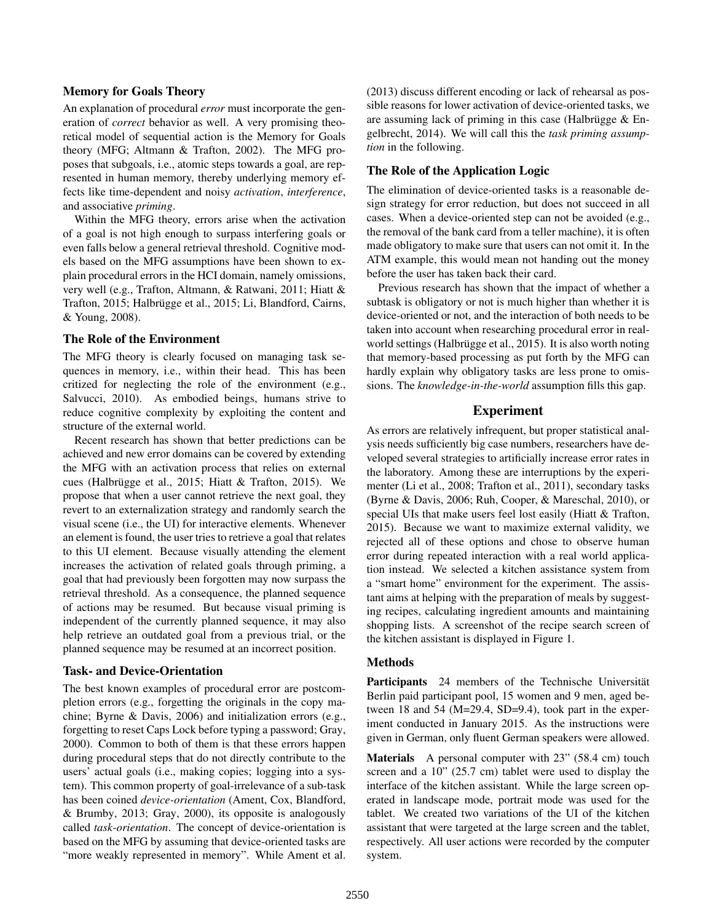## Memory for Goals Theory

An explanation of procedural *error* must incorporate the generation of *correct* behavior as well. A very promising theoretical model of sequential action is the Memory for Goals theory (MFG; Altmann & Trafton, 2002). The MFG proposes that subgoals, i.e., atomic steps towards a goal, are represented in human memory, thereby underlying memory effects like time-dependent and noisy *activation*, *interference*, and associative *priming*.

Within the MFG theory, errors arise when the activation of a goal is not high enough to surpass interfering goals or even falls below a general retrieval threshold. Cognitive models based on the MFG assumptions have been shown to explain procedural errors in the HCI domain, namely omissions, very well (e.g., Trafton, Altmann, & Ratwani, 2011; Hiatt & Trafton, 2015; Halbrügge et al., 2015; Li, Blandford, Cairns, & Young, 2008).

## The Role of the Environment

The MFG theory is clearly focused on managing task sequences in memory, i.e., within their head. This has been critized for neglecting the role of the environment (e.g., Salvucci, 2010). As embodied beings, humans strive to reduce cognitive complexity by exploiting the content and structure of the external world.

Recent research has shown that better predictions can be achieved and new error domains can be covered by extending the MFG with an activation process that relies on external cues (Halbrügge et al., 2015; Hiatt & Trafton, 2015). We propose that when a user cannot retrieve the next goal, they revert to an externalization strategy and randomly search the visual scene (i.e., the UI) for interactive elements. Whenever an element is found, the user tries to retrieve a goal that relates to this UI element. Because visually attending the element increases the activation of related goals through priming, a goal that had previously been forgotten may now surpass the retrieval threshold. As a consequence, the planned sequence of actions may be resumed. But because visual priming is independent of the currently planned sequence, it may also help retrieve an outdated goal from a previous trial, or the planned sequence may be resumed at an incorrect position.

## Task- and Device-Orientation

The best known examples of procedural error are postcompletion errors (e.g., forgetting the originals in the copy machine; Byrne & Davis, 2006) and initialization errors (e.g., forgetting to reset Caps Lock before typing a password; Gray, 2000). Common to both of them is that these errors happen during procedural steps that do not directly contribute to the users' actual goals (i.e., making copies; logging into a system). This common property of goal-irrelevance of a sub-task has been coined *device-orientation* (Ament, Cox, Blandford, & Brumby, 2013; Gray, 2000), its opposite is analogously called *task-orientation*. The concept of device-orientation is based on the MFG by assuming that device-oriented tasks are "more weakly represented in memory". While Ament et al. (2013) discuss different encoding or lack of rehearsal as possible reasons for lower activation of device-oriented tasks, we are assuming lack of priming in this case (Halbrügge & Engelbrecht, 2014). We will call this the *task priming assumption* in the following.

## The Role of the Application Logic

The elimination of device-oriented tasks is a reasonable design strategy for error reduction, but does not succeed in all cases. When a device-oriented step can not be avoided (e.g., the removal of the bank card from a teller machine), it is often made obligatory to make sure that users can not omit it. In the ATM example, this would mean not handing out the money before the user has taken back their card.

Previous research has shown that the impact of whether a subtask is obligatory or not is much higher than whether it is device-oriented or not, and the interaction of both needs to be taken into account when researching procedural error in realworld settings (Halbrügge et al., 2015). It is also worth noting that memory-based processing as put forth by the MFG can hardly explain why obligatory tasks are less prone to omissions. The *knowledge-in-the-world* assumption fills this gap.

## Experiment

As errors are relatively infrequent, but proper statistical analysis needs sufficiently big case numbers, researchers have developed several strategies to artificially increase error rates in the laboratory. Among these are interruptions by the experimenter (Li et al., 2008; Trafton et al., 2011), secondary tasks (Byrne & Davis, 2006; Ruh, Cooper, & Mareschal, 2010), or special UIs that make users feel lost easily (Hiatt & Trafton, 2015). Because we want to maximize external validity, we rejected all of these options and chose to observe human error during repeated interaction with a real world application instead. We selected a kitchen assistance system from a "smart home" environment for the experiment. The assistant aims at helping with the preparation of meals by suggesting recipes, calculating ingredient amounts and maintaining shopping lists. A screenshot of the recipe search screen of the kitchen assistant is displayed in Figure 1.

#### Methods

Participants 24 members of the Technische Universität Berlin paid participant pool, 15 women and 9 men, aged between 18 and 54 (M=29.4, SD=9.4), took part in the experiment conducted in January 2015. As the instructions were given in German, only fluent German speakers were allowed.

Materials A personal computer with 23" (58.4 cm) touch screen and a 10" (25.7 cm) tablet were used to display the interface of the kitchen assistant. While the large screen operated in landscape mode, portrait mode was used for the tablet. We created two variations of the UI of the kitchen assistant that were targeted at the large screen and the tablet, respectively. All user actions were recorded by the computer system.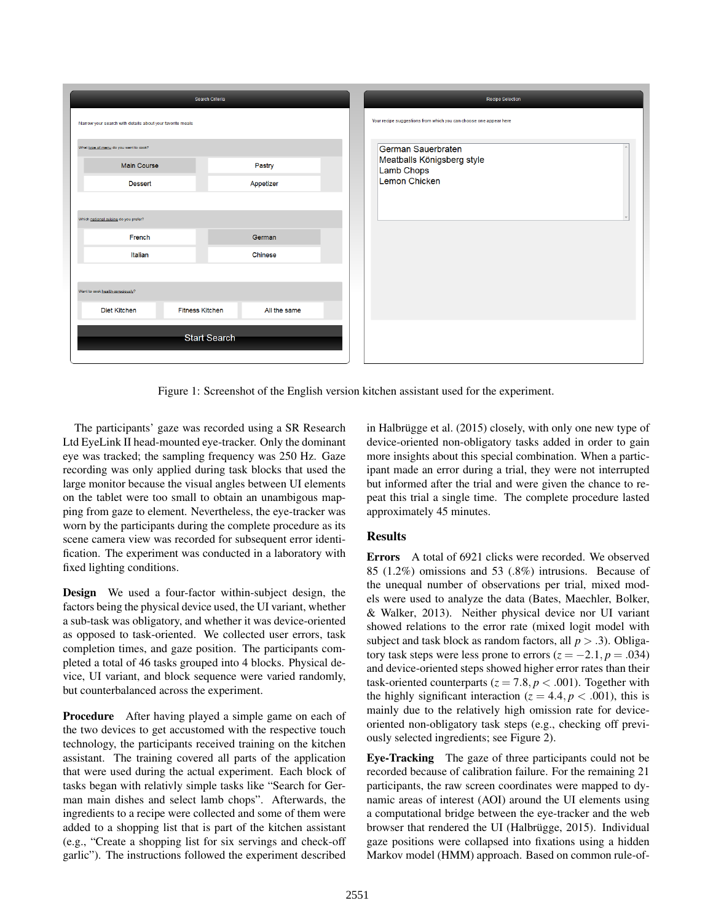|                                                              | Search Criteria        |              |
|--------------------------------------------------------------|------------------------|--------------|
| Narrow your search with details about your favorite meals    |                        |              |
| What type of menu do you want to cook?<br><b>Main Course</b> |                        | Pastry       |
| <b>Dessert</b>                                               |                        | Appetizer    |
| Which national cuisine do you prefer?                        |                        |              |
| French                                                       |                        | German       |
| Italian                                                      |                        | Chinese      |
|                                                              |                        |              |
| Want to cook health-consciously?<br><b>Diet Kitchen</b>      | <b>Fitness Kitchen</b> | All the same |
|                                                              |                        |              |
|                                                              | <b>Start Search</b>    |              |
|                                                              |                        |              |

Figure 1: Screenshot of the English version kitchen assistant used for the experiment.

The participants' gaze was recorded using a SR Research Ltd EyeLink II head-mounted eye-tracker. Only the dominant eye was tracked; the sampling frequency was 250 Hz. Gaze recording was only applied during task blocks that used the large monitor because the visual angles between UI elements on the tablet were too small to obtain an unambigous mapping from gaze to element. Nevertheless, the eye-tracker was worn by the participants during the complete procedure as its scene camera view was recorded for subsequent error identification. The experiment was conducted in a laboratory with fixed lighting conditions.

Design We used a four-factor within-subject design, the factors being the physical device used, the UI variant, whether a sub-task was obligatory, and whether it was device-oriented as opposed to task-oriented. We collected user errors, task completion times, and gaze position. The participants completed a total of 46 tasks grouped into 4 blocks. Physical device, UI variant, and block sequence were varied randomly, but counterbalanced across the experiment.

Procedure After having played a simple game on each of the two devices to get accustomed with the respective touch technology, the participants received training on the kitchen assistant. The training covered all parts of the application that were used during the actual experiment. Each block of tasks began with relativly simple tasks like "Search for German main dishes and select lamb chops". Afterwards, the ingredients to a recipe were collected and some of them were added to a shopping list that is part of the kitchen assistant (e.g., "Create a shopping list for six servings and check-off garlic"). The instructions followed the experiment described in Halbrügge et al. (2015) closely, with only one new type of device-oriented non-obligatory tasks added in order to gain more insights about this special combination. When a participant made an error during a trial, they were not interrupted but informed after the trial and were given the chance to repeat this trial a single time. The complete procedure lasted approximately 45 minutes.

# Results

Errors A total of 6921 clicks were recorded. We observed 85 (1.2%) omissions and 53 (.8%) intrusions. Because of the unequal number of observations per trial, mixed models were used to analyze the data (Bates, Maechler, Bolker, & Walker, 2013). Neither physical device nor UI variant showed relations to the error rate (mixed logit model with subject and task block as random factors, all  $p > .3$ ). Obligatory task steps were less prone to errors  $(z = -2.1, p = .034)$ and device-oriented steps showed higher error rates than their task-oriented counterparts ( $z = 7.8$ ,  $p < .001$ ). Together with the highly significant interaction ( $z = 4.4$ ,  $p < .001$ ), this is mainly due to the relatively high omission rate for deviceoriented non-obligatory task steps (e.g., checking off previously selected ingredients; see Figure 2).

Eye-Tracking The gaze of three participants could not be recorded because of calibration failure. For the remaining 21 participants, the raw screen coordinates were mapped to dynamic areas of interest (AOI) around the UI elements using a computational bridge between the eye-tracker and the web browser that rendered the UI (Halbrügge, 2015). Individual gaze positions were collapsed into fixations using a hidden Markov model (HMM) approach. Based on common rule-of-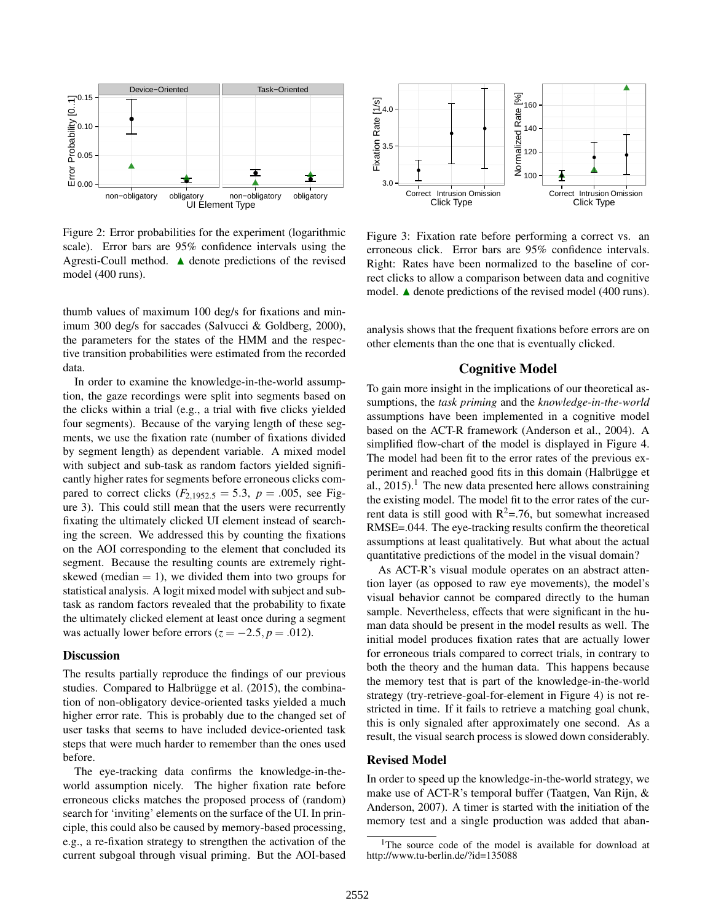

Figure 2: Error probabilities for the experiment (logarithmic scale). Error bars are 95% confidence intervals using the Agresti-Coull method.  $\triangle$  denote predictions of the revised model (400 runs).

thumb values of maximum 100 deg/s for fixations and minimum 300 deg/s for saccades (Salvucci & Goldberg, 2000), the parameters for the states of the HMM and the respective transition probabilities were estimated from the recorded data.

In order to examine the knowledge-in-the-world assumption, the gaze recordings were split into segments based on the clicks within a trial (e.g., a trial with five clicks yielded four segments). Because of the varying length of these segments, we use the fixation rate (number of fixations divided by segment length) as dependent variable. A mixed model with subject and sub-task as random factors yielded significantly higher rates for segments before erroneous clicks compared to correct clicks  $(F_{2,1952.5} = 5.3, p = .005,$  see Figure 3). This could still mean that the users were recurrently fixating the ultimately clicked UI element instead of searching the screen. We addressed this by counting the fixations on the AOI corresponding to the element that concluded its segment. Because the resulting counts are extremely rightskewed (median  $= 1$ ), we divided them into two groups for statistical analysis. A logit mixed model with subject and subtask as random factors revealed that the probability to fixate the ultimately clicked element at least once during a segment was actually lower before errors  $(z = -2.5, p = .012)$ .

### **Discussion**

The results partially reproduce the findings of our previous studies. Compared to Halbrügge et al. (2015), the combination of non-obligatory device-oriented tasks yielded a much higher error rate. This is probably due to the changed set of user tasks that seems to have included device-oriented task steps that were much harder to remember than the ones used before.

The eye-tracking data confirms the knowledge-in-theworld assumption nicely. The higher fixation rate before erroneous clicks matches the proposed process of (random) search for 'inviting' elements on the surface of the UI. In principle, this could also be caused by memory-based processing, e.g., a re-fixation strategy to strengthen the activation of the current subgoal through visual priming. But the AOI-based



Figure 3: Fixation rate before performing a correct vs. an erroneous click. Error bars are 95% confidence intervals. Right: Rates have been normalized to the baseline of correct clicks to allow a comparison between data and cognitive model.  $\blacktriangle$  denote predictions of the revised model (400 runs).

analysis shows that the frequent fixations before errors are on other elements than the one that is eventually clicked.

## Cognitive Model

To gain more insight in the implications of our theoretical assumptions, the *task priming* and the *knowledge-in-the-world* assumptions have been implemented in a cognitive model based on the ACT-R framework (Anderson et al., 2004). A simplified flow-chart of the model is displayed in Figure 4. The model had been fit to the error rates of the previous experiment and reached good fits in this domain (Halbrügge et al., 2015).<sup>1</sup> The new data presented here allows constraining the existing model. The model fit to the error rates of the current data is still good with  $R^2 = 0.76$ , but somewhat increased RMSE=.044. The eye-tracking results confirm the theoretical assumptions at least qualitatively. But what about the actual quantitative predictions of the model in the visual domain?

As ACT-R's visual module operates on an abstract attention layer (as opposed to raw eye movements), the model's visual behavior cannot be compared directly to the human sample. Nevertheless, effects that were significant in the human data should be present in the model results as well. The initial model produces fixation rates that are actually lower for erroneous trials compared to correct trials, in contrary to both the theory and the human data. This happens because the memory test that is part of the knowledge-in-the-world strategy (try-retrieve-goal-for-element in Figure 4) is not restricted in time. If it fails to retrieve a matching goal chunk, this is only signaled after approximately one second. As a result, the visual search process is slowed down considerably.

## Revised Model

In order to speed up the knowledge-in-the-world strategy, we make use of ACT-R's temporal buffer (Taatgen, Van Rijn, & Anderson, 2007). A timer is started with the initiation of the memory test and a single production was added that aban-

<sup>&</sup>lt;sup>1</sup>The source code of the model is available for download at http://www.tu-berlin.de/?id=135088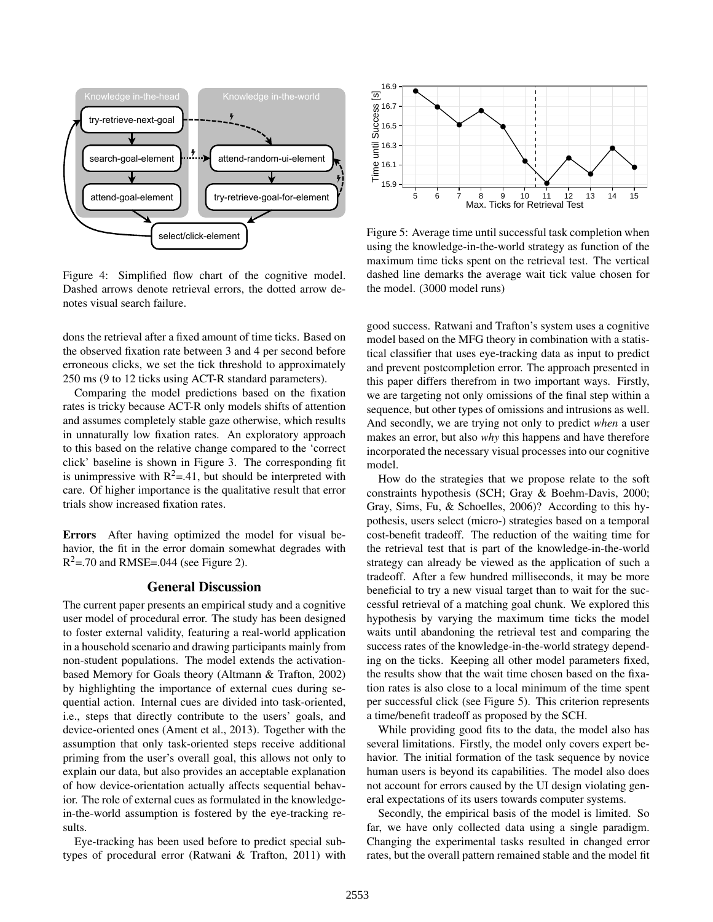

Figure 4: Simplified flow chart of the cognitive model. Dashed arrows denote retrieval errors, the dotted arrow denotes visual search failure.

dons the retrieval after a fixed amount of time ticks. Based on the observed fixation rate between 3 and 4 per second before erroneous clicks, we set the tick threshold to approximately 250 ms (9 to 12 ticks using ACT-R standard parameters).

Comparing the model predictions based on the fixation rates is tricky because ACT-R only models shifts of attention and assumes completely stable gaze otherwise, which results in unnaturally low fixation rates. An exploratory approach to this based on the relative change compared to the 'correct click' baseline is shown in Figure 3. The corresponding fit is unimpressive with  $R^2 = .41$ , but should be interpreted with care. Of higher importance is the qualitative result that error trials show increased fixation rates.

Errors After having optimized the model for visual behavior, the fit in the error domain somewhat degrades with  $R^2$ =.70 and RMSE=.044 (see Figure 2).

## General Discussion

The current paper presents an empirical study and a cognitive user model of procedural error. The study has been designed to foster external validity, featuring a real-world application in a household scenario and drawing participants mainly from non-student populations. The model extends the activationbased Memory for Goals theory (Altmann & Trafton, 2002) by highlighting the importance of external cues during sequential action. Internal cues are divided into task-oriented, i.e., steps that directly contribute to the users' goals, and device-oriented ones (Ament et al., 2013). Together with the assumption that only task-oriented steps receive additional priming from the user's overall goal, this allows not only to explain our data, but also provides an acceptable explanation of how device-orientation actually affects sequential behavior. The role of external cues as formulated in the knowledgein-the-world assumption is fostered by the eye-tracking results.

Eye-tracking has been used before to predict special subtypes of procedural error (Ratwani & Trafton, 2011) with



Figure 5: Average time until successful task completion when using the knowledge-in-the-world strategy as function of the maximum time ticks spent on the retrieval test. The vertical dashed line demarks the average wait tick value chosen for the model. (3000 model runs)

good success. Ratwani and Trafton's system uses a cognitive model based on the MFG theory in combination with a statistical classifier that uses eye-tracking data as input to predict and prevent postcompletion error. The approach presented in this paper differs therefrom in two important ways. Firstly, we are targeting not only omissions of the final step within a sequence, but other types of omissions and intrusions as well. And secondly, we are trying not only to predict *when* a user makes an error, but also *why* this happens and have therefore incorporated the necessary visual processes into our cognitive model.

How do the strategies that we propose relate to the soft constraints hypothesis (SCH; Gray & Boehm-Davis, 2000; Gray, Sims, Fu, & Schoelles, 2006)? According to this hypothesis, users select (micro-) strategies based on a temporal cost-benefit tradeoff. The reduction of the waiting time for the retrieval test that is part of the knowledge-in-the-world strategy can already be viewed as the application of such a tradeoff. After a few hundred milliseconds, it may be more beneficial to try a new visual target than to wait for the successful retrieval of a matching goal chunk. We explored this hypothesis by varying the maximum time ticks the model waits until abandoning the retrieval test and comparing the success rates of the knowledge-in-the-world strategy depending on the ticks. Keeping all other model parameters fixed, the results show that the wait time chosen based on the fixation rates is also close to a local minimum of the time spent per successful click (see Figure 5). This criterion represents a time/benefit tradeoff as proposed by the SCH.

While providing good fits to the data, the model also has several limitations. Firstly, the model only covers expert behavior. The initial formation of the task sequence by novice human users is beyond its capabilities. The model also does not account for errors caused by the UI design violating general expectations of its users towards computer systems.

Secondly, the empirical basis of the model is limited. So far, we have only collected data using a single paradigm. Changing the experimental tasks resulted in changed error rates, but the overall pattern remained stable and the model fit